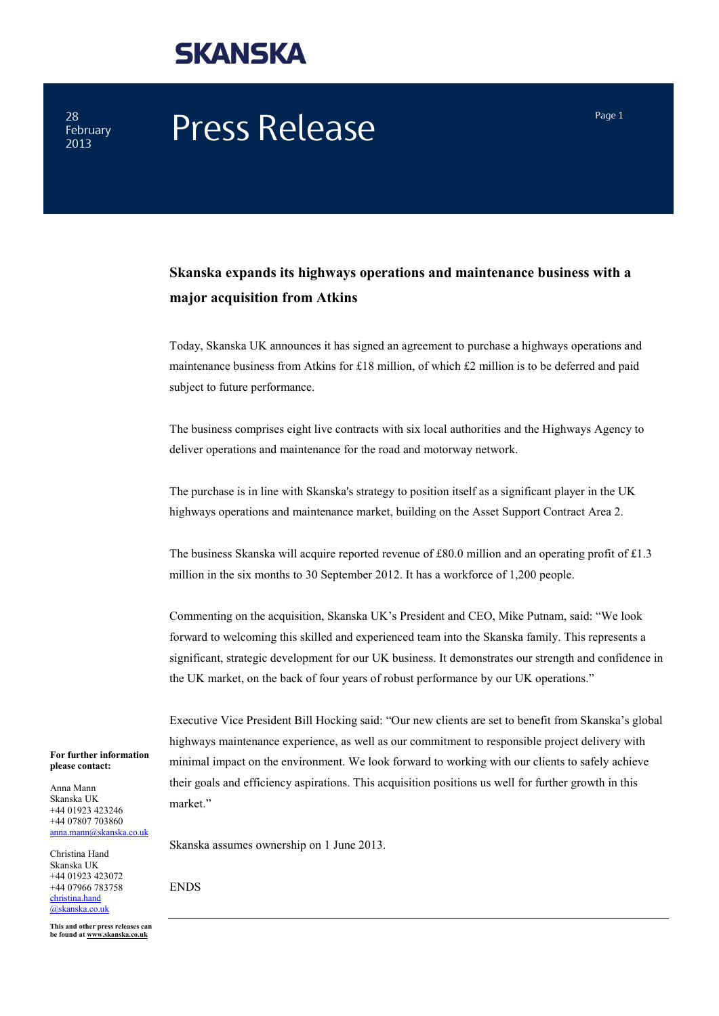### **SKANSKA**

28 February

# $28$  February **Press Release** Press **Press Press Press Press Press Press Press Press Press Press Press Press Press Press Press Press Press Press Press Press Press Press Press**

### **Skanska expands its highways operations and maintenance business with a major acquisition from Atkins**

Today, Skanska UK announces it has signed an agreement to purchase a highways operations and maintenance business from Atkins for £18 million, of which £2 million is to be deferred and paid subject to future performance.

The business comprises eight live contracts with six local authorities and the Highways Agency to deliver operations and maintenance for the road and motorway network.

The purchase is in line with Skanska's strategy to position itself as a significant player in the UK highways operations and maintenance market, building on the Asset Support Contract Area 2.

The business Skanska will acquire reported revenue of £80.0 million and an operating profit of £1.3 million in the six months to 30 September 2012. It has a workforce of 1,200 people.

Commenting on the acquisition, Skanska UK's President and CEO, Mike Putnam, said: "We look forward to welcoming this skilled and experienced team into the Skanska family. This represents a significant, strategic development for our UK business. It demonstrates our strength and confidence in the UK market, on the back of four years of robust performance by our UK operations."

Executive Vice President Bill Hocking said: "Our new clients are set to benefit from Skanska's global highways maintenance experience, as well as our commitment to responsible project delivery with minimal impact on the environment. We look forward to working with our clients to safely achieve their goals and efficiency aspirations. This acquisition positions us well for further growth in this market"

Skanska assumes ownership on 1 June 2013.

Christina Hand Skanska UK +44 01923 423072 +44 07966 783758 [christina.hand](mailto:christina.hand@skanska.co.uk) [@skanska.co.uk](mailto:christina.hand@skanska.co.uk)

**For further information please contact:** Anna Mann Skanska UK +44 01923 423246 +44 07807 703860 [anna.mann@skanska.co.uk](mailto:anna.mann@skanska.co.uk)

**This and other press releases can be found a[t www.skanska.co.uk](http://www.skanska.co.uk/)**

ENDS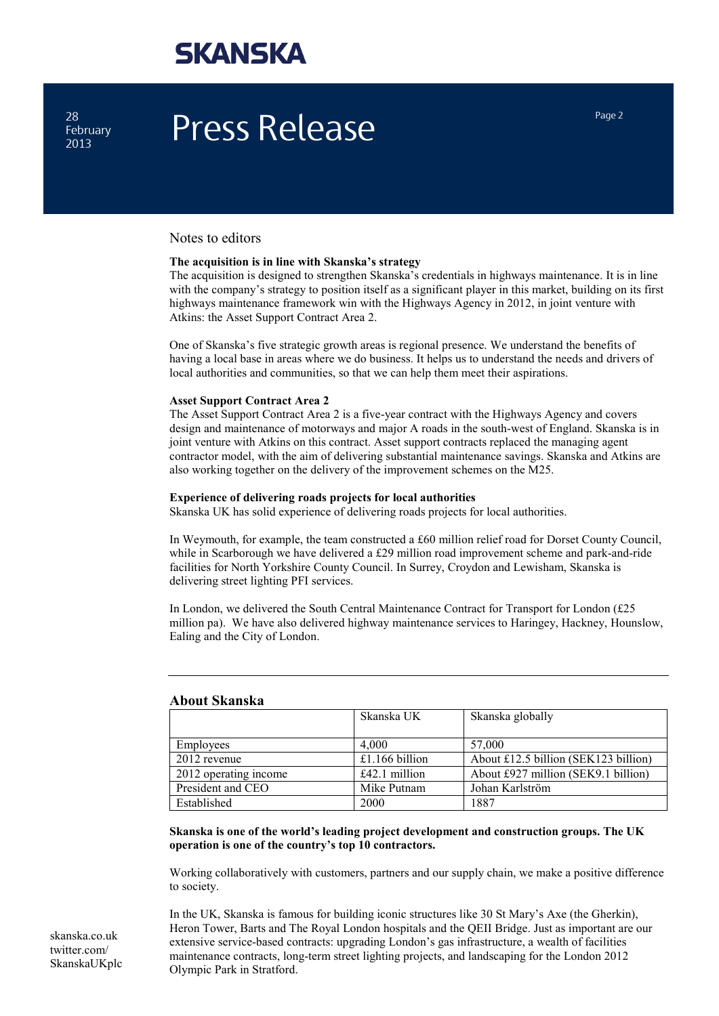### **SKANSKA**

28 February

# $P_{\text{P}}^{\text{28}}$  **Press Release** Press Press Page 2

#### Notes to editors

#### **The acquisition is in line with Skanska's strategy**

The acquisition is designed to strengthen Skanska's credentials in highways maintenance. It is in line with the company's strategy to position itself as a significant player in this market, building on its first highways maintenance framework win with the Highways Agency in 2012, in joint venture with Atkins: the Asset Support Contract Area 2.

One of Skanska's five strategic growth areas is regional presence. We understand the benefits of having a local base in areas where we do business. It helps us to understand the needs and drivers of local authorities and communities, so that we can help them meet their aspirations.

#### **Asset Support Contract Area 2**

The Asset Support Contract Area 2 is a five-year contract with the Highways Agency and covers design and maintenance of motorways and major A roads in the south-west of England. Skanska is in joint venture with Atkins on this contract. Asset support contracts replaced the managing agent contractor model, with the aim of delivering substantial maintenance savings. Skanska and Atkins are also working together on the delivery of the improvement schemes on the M25.

#### **Experience of delivering roads projects for local authorities**

Skanska UK has solid experience of delivering roads projects for local authorities.

In Weymouth, for example, the team constructed a £60 million relief road for Dorset County Council, while in Scarborough we have delivered a £29 million road improvement scheme and park-and-ride facilities for North Yorkshire County Council. In Surrey, Croydon and Lewisham, Skanska is delivering street lighting PFI services.

In London, we delivered the South Central Maintenance Contract for Transport for London (£25 million pa). We have also delivered highway maintenance services to Haringey, Hackney, Hounslow, Ealing and the City of London.

| <i>Tr</i> ogue Diministra |                 |                                      |
|---------------------------|-----------------|--------------------------------------|
|                           | Skanska UK      | Skanska globally                     |
| Employees                 | 4.000           | 57,000                               |
| 2012 revenue              | £1.166 billion  | About £12.5 billion (SEK123 billion) |
| 2012 operating income     | $£42.1$ million | About £927 million (SEK9.1 billion)  |
| President and CEO         | Mike Putnam     | Johan Karlström                      |
| Established               | 2000            | 1887                                 |

#### **About Skanska**

**Skanska is one of the world's leading project development and construction groups. The UK operation is one of the country's top 10 contractors.**

Working collaboratively with customers, partners and our supply chain, we make a positive difference to society.

In the UK, Skanska is famous for building iconic structures like 30 St Mary's Axe (the Gherkin), Heron Tower, Barts and The Royal London hospitals and the QEII Bridge. Just as important are our extensive service-based contracts: upgrading London's gas infrastructure, a wealth of facilities maintenance contracts, long-term street lighting projects, and landscaping for the London 2012 Olympic Park in Stratford.

[skanska.co.uk](http://www.skanska.co.uk/)  twitter.com/ SkanskaUKplc